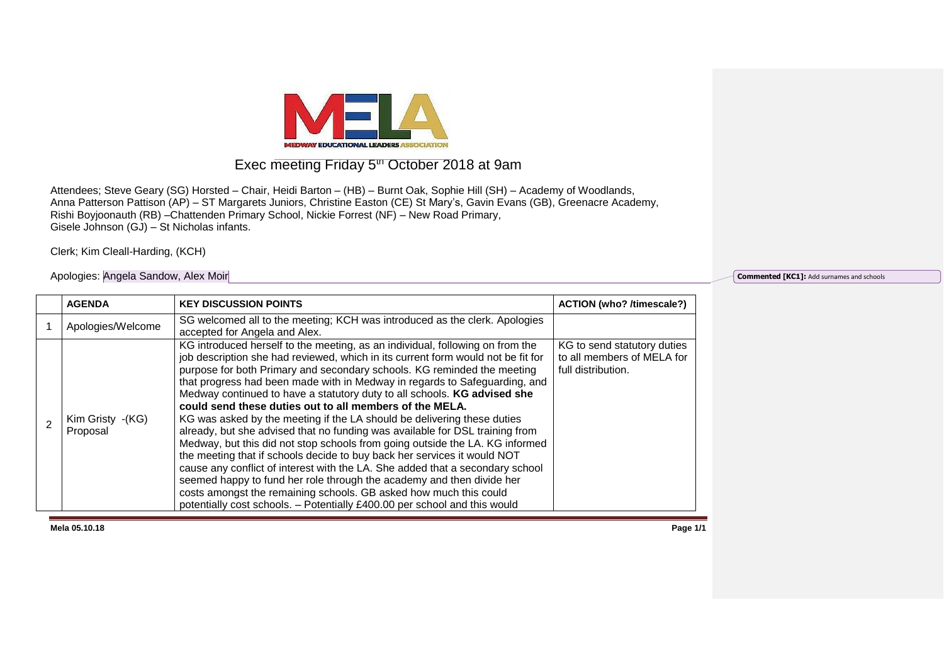

## Exec meeting Friday 5<sup>th</sup> October 2018 at 9am

Attendees; Steve Geary (SG) Horsted – Chair, Heidi Barton – (HB) – Burnt Oak, Sophie Hill (SH) – Academy of Woodlands, Anna Patterson Pattison (AP) – ST Margarets Juniors, Christine Easton (CE) St Mary's, Gavin Evans (GB), Greenacre Academy, Rishi Boyjoonauth (RB) –Chattenden Primary School, Nickie Forrest (NF) – New Road Primary, Gisele Johnson (GJ) – St Nicholas infants.

Clerk; Kim Cleall-Harding, (KCH)

## Apologies: Angela Sandow, Alex Moir

**Commented [KC1]:** Add surnames and schools

| <b>AGENDA</b>                | <b>KEY DISCUSSION POINTS</b>                                                                                                                                                                                                                                                                                                                                                                                                                                                                                                                                                                                                                                                                                                                                                                                                                                                                                                                                                                                                                                                                         | <b>ACTION (who? /timescale?)</b>                                                |
|------------------------------|------------------------------------------------------------------------------------------------------------------------------------------------------------------------------------------------------------------------------------------------------------------------------------------------------------------------------------------------------------------------------------------------------------------------------------------------------------------------------------------------------------------------------------------------------------------------------------------------------------------------------------------------------------------------------------------------------------------------------------------------------------------------------------------------------------------------------------------------------------------------------------------------------------------------------------------------------------------------------------------------------------------------------------------------------------------------------------------------------|---------------------------------------------------------------------------------|
| Apologies/Welcome            | SG welcomed all to the meeting; KCH was introduced as the clerk. Apologies<br>accepted for Angela and Alex.                                                                                                                                                                                                                                                                                                                                                                                                                                                                                                                                                                                                                                                                                                                                                                                                                                                                                                                                                                                          |                                                                                 |
| Kim Gristy -(KG)<br>Proposal | KG introduced herself to the meeting, as an individual, following on from the<br>job description she had reviewed, which in its current form would not be fit for<br>purpose for both Primary and secondary schools. KG reminded the meeting<br>that progress had been made with in Medway in regards to Safeguarding, and<br>Medway continued to have a statutory duty to all schools. KG advised she<br>could send these duties out to all members of the MELA.<br>KG was asked by the meeting if the LA should be delivering these duties<br>already, but she advised that no funding was available for DSL training from<br>Medway, but this did not stop schools from going outside the LA. KG informed<br>the meeting that if schools decide to buy back her services it would NOT<br>cause any conflict of interest with the LA. She added that a secondary school<br>seemed happy to fund her role through the academy and then divide her<br>costs amongst the remaining schools. GB asked how much this could<br>potentially cost schools. - Potentially £400.00 per school and this would | KG to send statutory duties<br>to all members of MELA for<br>full distribution. |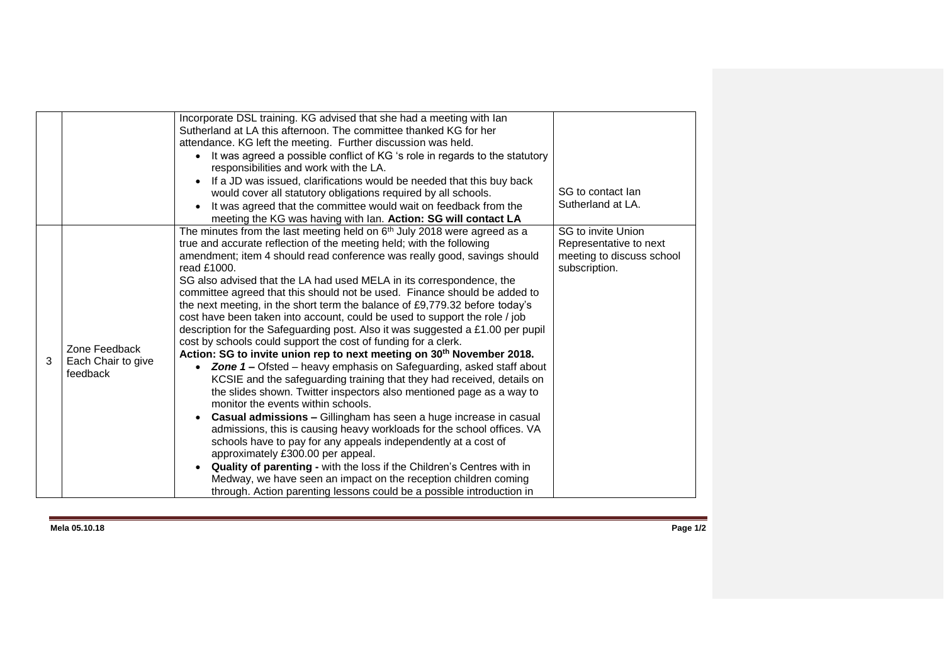|   |                                                 | Incorporate DSL training. KG advised that she had a meeting with lan<br>Sutherland at LA this afternoon. The committee thanked KG for her<br>attendance. KG left the meeting. Further discussion was held.<br>• It was agreed a possible conflict of KG 's role in regards to the statutory<br>responsibilities and work with the LA.<br>If a JD was issued, clarifications would be needed that this buy back<br>would cover all statutory obligations required by all schools.<br>It was agreed that the committee would wait on feedback from the<br>meeting the KG was having with Ian. Action: SG will contact LA                                                                                                                                                                                                                                                                                                                                                                                                                                                                                                                                                                                                                                                                                                                                                                                                                                                                                                                                          | SG to contact lan<br>Sutherland at LA.                                                            |
|---|-------------------------------------------------|-----------------------------------------------------------------------------------------------------------------------------------------------------------------------------------------------------------------------------------------------------------------------------------------------------------------------------------------------------------------------------------------------------------------------------------------------------------------------------------------------------------------------------------------------------------------------------------------------------------------------------------------------------------------------------------------------------------------------------------------------------------------------------------------------------------------------------------------------------------------------------------------------------------------------------------------------------------------------------------------------------------------------------------------------------------------------------------------------------------------------------------------------------------------------------------------------------------------------------------------------------------------------------------------------------------------------------------------------------------------------------------------------------------------------------------------------------------------------------------------------------------------------------------------------------------------|---------------------------------------------------------------------------------------------------|
| 3 | Zone Feedback<br>Each Chair to give<br>feedback | The minutes from the last meeting held on 6 <sup>th</sup> July 2018 were agreed as a<br>true and accurate reflection of the meeting held; with the following<br>amendment; item 4 should read conference was really good, savings should<br>read £1000.<br>SG also advised that the LA had used MELA in its correspondence, the<br>committee agreed that this should not be used. Finance should be added to<br>the next meeting, in the short term the balance of £9,779.32 before today's<br>cost have been taken into account, could be used to support the role / job<br>description for the Safeguarding post. Also it was suggested a £1.00 per pupil<br>cost by schools could support the cost of funding for a clerk.<br>Action: SG to invite union rep to next meeting on 30 <sup>th</sup> November 2018.<br>• Zone 1 – Ofsted – heavy emphasis on Safeguarding, asked staff about<br>KCSIE and the safeguarding training that they had received, details on<br>the slides shown. Twitter inspectors also mentioned page as a way to<br>monitor the events within schools.<br>Casual admissions - Gillingham has seen a huge increase in casual<br>admissions, this is causing heavy workloads for the school offices. VA<br>schools have to pay for any appeals independently at a cost of<br>approximately £300.00 per appeal.<br>Quality of parenting - with the loss if the Children's Centres with in<br>Medway, we have seen an impact on the reception children coming<br>through. Action parenting lessons could be a possible introduction in | <b>SG</b> to invite Union<br>Representative to next<br>meeting to discuss school<br>subscription. |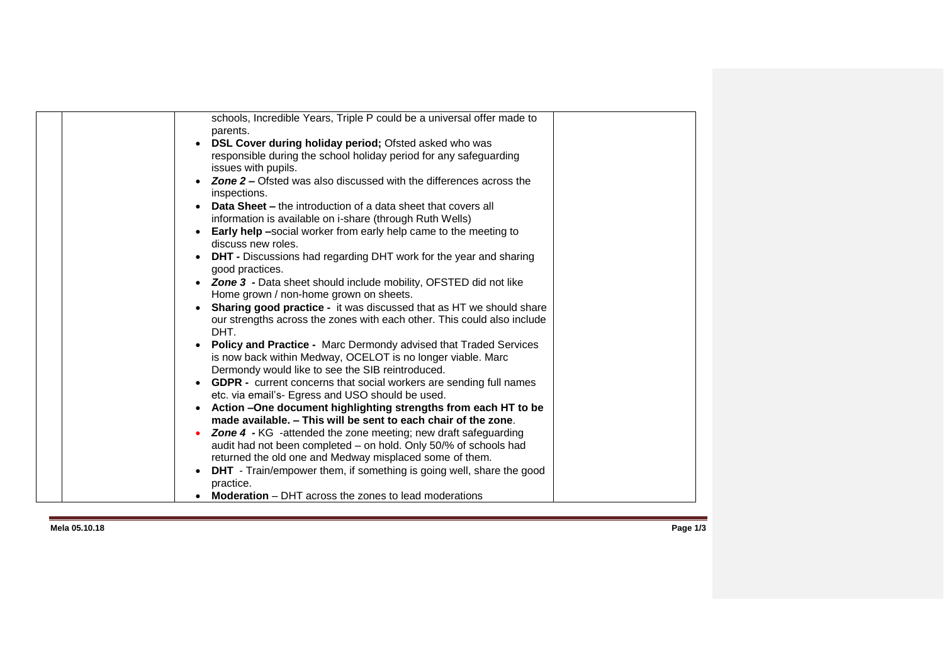| schools, Incredible Years, Triple P could be a universal offer made to<br>parents.   |
|--------------------------------------------------------------------------------------|
|                                                                                      |
| DSL Cover during holiday period; Ofsted asked who was                                |
| responsible during the school holiday period for any safeguarding                    |
| issues with pupils.                                                                  |
| <b>Zone 2 –</b> Ofsted was also discussed with the differences across the            |
| inspections.                                                                         |
| <b>Data Sheet –</b> the introduction of a data sheet that covers all                 |
| information is available on i-share (through Ruth Wells)                             |
| <b>Early help</b> -social worker from early help came to the meeting to<br>$\bullet$ |
| discuss new roles.                                                                   |
| <b>DHT</b> - Discussions had regarding DHT work for the year and sharing             |
| good practices.                                                                      |
| <b>Zone 3</b> - Data sheet should include mobility, OFSTED did not like              |
| Home grown / non-home grown on sheets.                                               |
| <b>Sharing good practice - it was discussed that as HT we should share</b>           |
| our strengths across the zones with each other. This could also include              |
| DHT.                                                                                 |
| Policy and Practice - Marc Dermondy advised that Traded Services                     |
| is now back within Medway, OCELOT is no longer viable. Marc                          |
| Dermondy would like to see the SIB reintroduced.                                     |
| <b>GDPR</b> - current concerns that social workers are sending full names<br>۰       |
| etc. via email's- Egress and USO should be used.                                     |
|                                                                                      |
| Action -One document highlighting strengths from each HT to be<br>$\bullet$          |
| made available. - This will be sent to each chair of the zone.                       |
| <b>Zone 4 - KG</b> -attended the zone meeting; new draft safeguarding                |
| audit had not been completed - on hold. Only 50/% of schools had                     |
| returned the old one and Medway misplaced some of them.                              |
| <b>DHT</b> - Train/empower them, if something is going well, share the good          |
| practice.                                                                            |
| Moderation - DHT across the zones to lead moderations                                |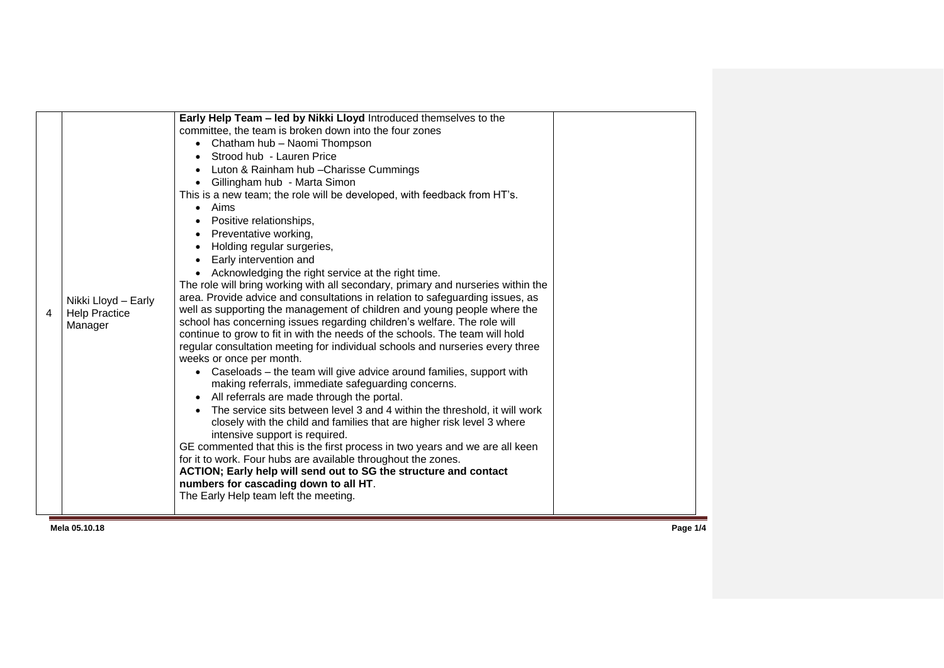| 4 | Nikki Lloyd - Early<br><b>Help Practice</b><br>Manager | committee, the team is broken down into the four zones<br>Chatham hub - Naomi Thompson<br>$\bullet$<br>Strood hub - Lauren Price<br>Luton & Rainham hub - Charisse Cummings<br>Gillingham hub - Marta Simon<br>$\bullet$<br>This is a new team; the role will be developed, with feedback from HT's.<br>Aims<br>$\bullet$<br>Positive relationships,<br>Preventative working,<br>Holding regular surgeries,<br>Early intervention and<br>Acknowledging the right service at the right time.<br>The role will bring working with all secondary, primary and nurseries within the<br>area. Provide advice and consultations in relation to safeguarding issues, as<br>well as supporting the management of children and young people where the<br>school has concerning issues regarding children's welfare. The role will<br>continue to grow to fit in with the needs of the schools. The team will hold<br>regular consultation meeting for individual schools and nurseries every three<br>weeks or once per month.<br>Caseloads – the team will give advice around families, support with<br>making referrals, immediate safeguarding concerns.<br>All referrals are made through the portal.<br>The service sits between level 3 and 4 within the threshold, it will work<br>closely with the child and families that are higher risk level 3 where<br>intensive support is required.<br>GE commented that this is the first process in two years and we are all keen<br>for it to work. Four hubs are available throughout the zones.<br>ACTION; Early help will send out to SG the structure and contact<br>numbers for cascading down to all HT.<br>The Early Help team left the meeting. |  |  |
|---|--------------------------------------------------------|--------------------------------------------------------------------------------------------------------------------------------------------------------------------------------------------------------------------------------------------------------------------------------------------------------------------------------------------------------------------------------------------------------------------------------------------------------------------------------------------------------------------------------------------------------------------------------------------------------------------------------------------------------------------------------------------------------------------------------------------------------------------------------------------------------------------------------------------------------------------------------------------------------------------------------------------------------------------------------------------------------------------------------------------------------------------------------------------------------------------------------------------------------------------------------------------------------------------------------------------------------------------------------------------------------------------------------------------------------------------------------------------------------------------------------------------------------------------------------------------------------------------------------------------------------------------------------------------------------------------------------------------------------------------------------------------------|--|--|
|---|--------------------------------------------------------|--------------------------------------------------------------------------------------------------------------------------------------------------------------------------------------------------------------------------------------------------------------------------------------------------------------------------------------------------------------------------------------------------------------------------------------------------------------------------------------------------------------------------------------------------------------------------------------------------------------------------------------------------------------------------------------------------------------------------------------------------------------------------------------------------------------------------------------------------------------------------------------------------------------------------------------------------------------------------------------------------------------------------------------------------------------------------------------------------------------------------------------------------------------------------------------------------------------------------------------------------------------------------------------------------------------------------------------------------------------------------------------------------------------------------------------------------------------------------------------------------------------------------------------------------------------------------------------------------------------------------------------------------------------------------------------------------|--|--|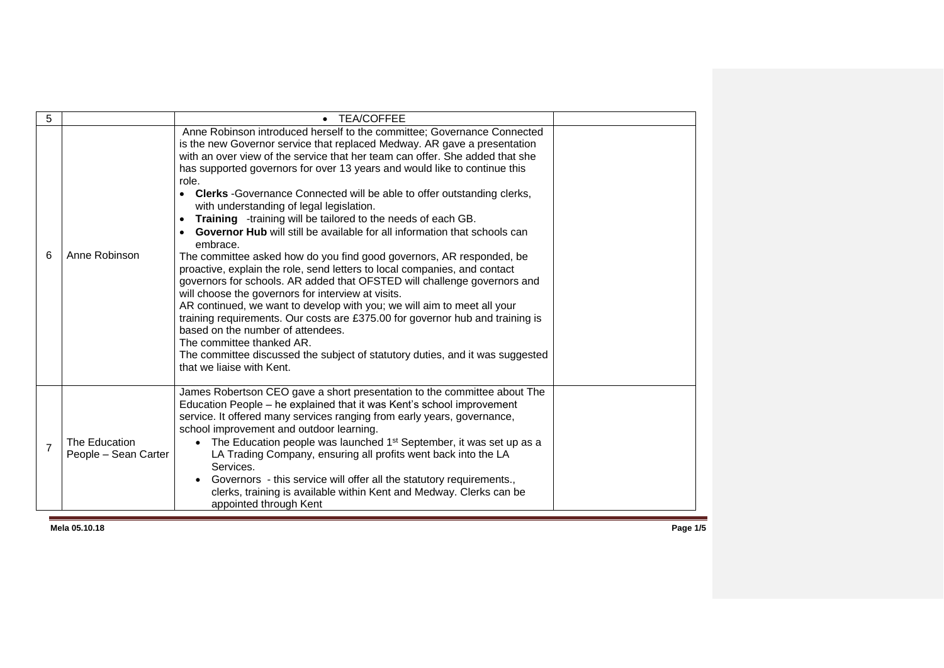| 5              |                                       | <b>TEA/COFFEE</b><br>$\bullet$                                                                                                                                                                                                                                                                                                                                                                                                                                                                                                                                                                                                                                                                                                                                                                                                                                                                                                                                                                                                                                                                                                                                                                                                                                                       |  |
|----------------|---------------------------------------|--------------------------------------------------------------------------------------------------------------------------------------------------------------------------------------------------------------------------------------------------------------------------------------------------------------------------------------------------------------------------------------------------------------------------------------------------------------------------------------------------------------------------------------------------------------------------------------------------------------------------------------------------------------------------------------------------------------------------------------------------------------------------------------------------------------------------------------------------------------------------------------------------------------------------------------------------------------------------------------------------------------------------------------------------------------------------------------------------------------------------------------------------------------------------------------------------------------------------------------------------------------------------------------|--|
| 6              | Anne Robinson                         | Anne Robinson introduced herself to the committee; Governance Connected<br>is the new Governor service that replaced Medway. AR gave a presentation<br>with an over view of the service that her team can offer. She added that she<br>has supported governors for over 13 years and would like to continue this<br>role.<br><b>Clerks</b> - Governance Connected will be able to offer outstanding clerks,<br>$\bullet$<br>with understanding of legal legislation.<br>Training -training will be tailored to the needs of each GB.<br>$\bullet$<br><b>Governor Hub</b> will still be available for all information that schools can<br>embrace.<br>The committee asked how do you find good governors, AR responded, be<br>proactive, explain the role, send letters to local companies, and contact<br>governors for schools. AR added that OFSTED will challenge governors and<br>will choose the governors for interview at visits.<br>AR continued, we want to develop with you; we will aim to meet all your<br>training requirements. Our costs are £375.00 for governor hub and training is<br>based on the number of attendees.<br>The committee thanked AR.<br>The committee discussed the subject of statutory duties, and it was suggested<br>that we liaise with Kent. |  |
| $\overline{7}$ | The Education<br>People - Sean Carter | James Robertson CEO gave a short presentation to the committee about The<br>Education People – he explained that it was Kent's school improvement<br>service. It offered many services ranging from early years, governance,<br>school improvement and outdoor learning.<br>• The Education people was launched 1 <sup>st</sup> September, it was set up as a<br>LA Trading Company, ensuring all profits went back into the LA<br>Services.<br>Governors - this service will offer all the statutory requirements.,<br>clerks, training is available within Kent and Medway. Clerks can be<br>appointed through Kent                                                                                                                                                                                                                                                                                                                                                                                                                                                                                                                                                                                                                                                                |  |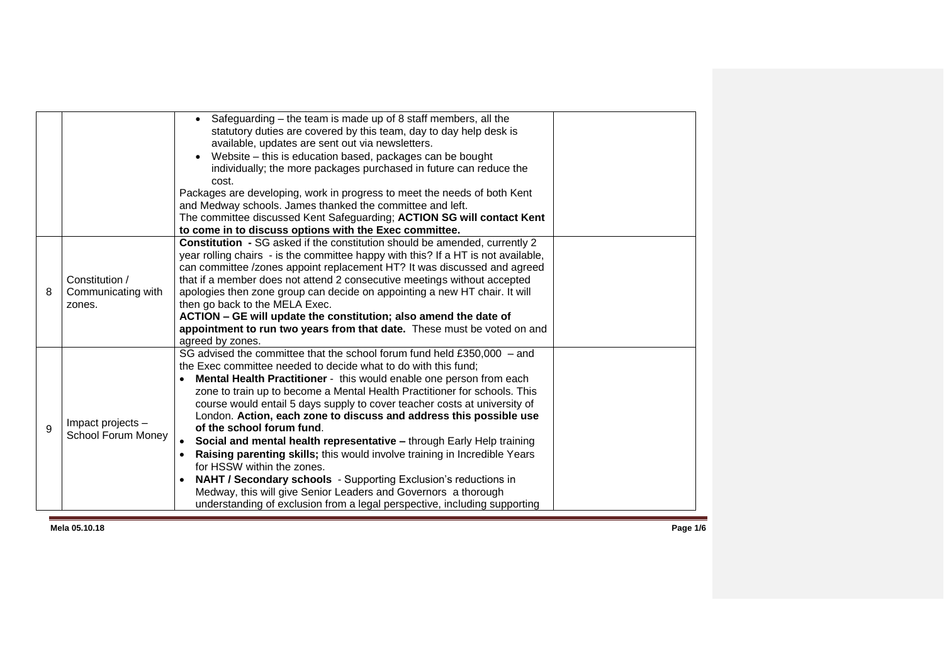|   |                                                | Safeguarding – the team is made up of 8 staff members, all the<br>statutory duties are covered by this team, day to day help desk is<br>available, updates are sent out via newsletters.<br>Website - this is education based, packages can be bought<br>individually; the more packages purchased in future can reduce the<br>cost.<br>Packages are developing, work in progress to meet the needs of both Kent<br>and Medway schools. James thanked the committee and left.<br>The committee discussed Kent Safeguarding; ACTION SG will contact Kent<br>to come in to discuss options with the Exec committee.                                                                                                                                                                                                                                                                                     |
|---|------------------------------------------------|-------------------------------------------------------------------------------------------------------------------------------------------------------------------------------------------------------------------------------------------------------------------------------------------------------------------------------------------------------------------------------------------------------------------------------------------------------------------------------------------------------------------------------------------------------------------------------------------------------------------------------------------------------------------------------------------------------------------------------------------------------------------------------------------------------------------------------------------------------------------------------------------------------|
| 8 | Constitution /<br>Communicating with<br>zones. | Constitution - SG asked if the constitution should be amended, currently 2<br>year rolling chairs - is the committee happy with this? If a HT is not available,<br>can committee /zones appoint replacement HT? It was discussed and agreed<br>that if a member does not attend 2 consecutive meetings without accepted<br>apologies then zone group can decide on appointing a new HT chair. It will<br>then go back to the MELA Exec.<br>ACTION - GE will update the constitution; also amend the date of<br>appointment to run two years from that date. These must be voted on and<br>agreed by zones.                                                                                                                                                                                                                                                                                            |
| 9 | Impact projects -<br>School Forum Money        | SG advised the committee that the school forum fund held £350,000 - and<br>the Exec committee needed to decide what to do with this fund;<br>Mental Health Practitioner - this would enable one person from each<br>zone to train up to become a Mental Health Practitioner for schools. This<br>course would entail 5 days supply to cover teacher costs at university of<br>London. Action, each zone to discuss and address this possible use<br>of the school forum fund.<br>Social and mental health representative - through Early Help training<br>$\bullet$<br>Raising parenting skills; this would involve training in Incredible Years<br>for HSSW within the zones.<br>NAHT / Secondary schools - Supporting Exclusion's reductions in<br>٠<br>Medway, this will give Senior Leaders and Governors a thorough<br>understanding of exclusion from a legal perspective, including supporting |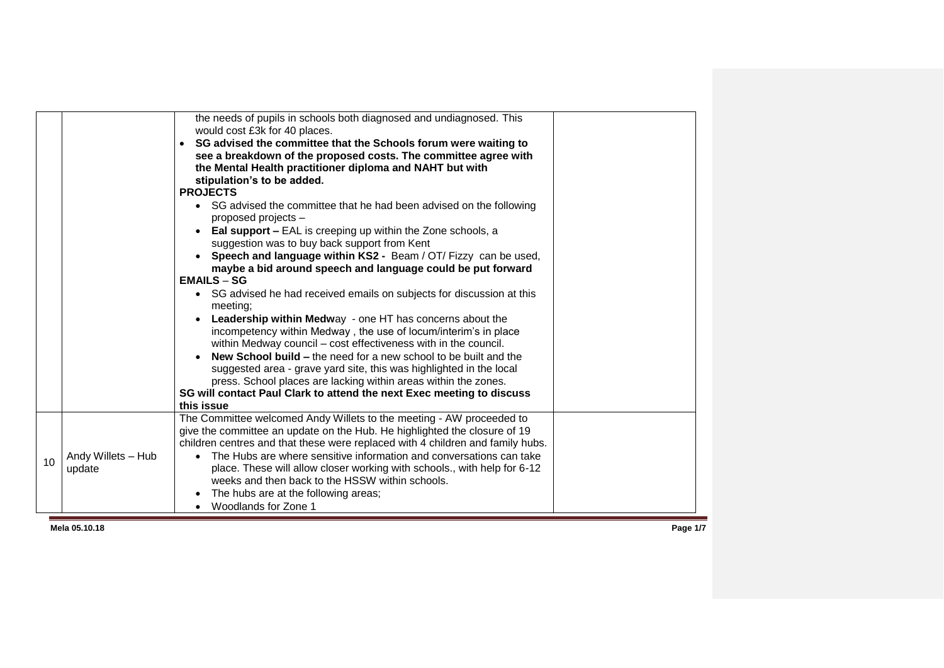|                 |                              | the needs of pupils in schools both diagnosed and undiagnosed. This<br>would cost £3k for 40 places.<br>• SG advised the committee that the Schools forum were waiting to<br>see a breakdown of the proposed costs. The committee agree with<br>the Mental Health practitioner diploma and NAHT but with<br>stipulation's to be added.<br><b>PROJECTS</b><br>• SG advised the committee that he had been advised on the following<br>proposed projects -<br><b>Eal support - EAL</b> is creeping up within the Zone schools, a<br>suggestion was to buy back support from Kent<br>Speech and language within KS2 - Beam / OT/ Fizzy can be used,<br>maybe a bid around speech and language could be put forward<br>$EMAILS - SG$<br>• SG advised he had received emails on subjects for discussion at this<br>meeting:<br>Leadership within Medway - one HT has concerns about the<br>incompetency within Medway, the use of locum/interim's in place<br>within Medway council - cost effectiveness with in the council.<br><b>New School build – the need for a new school to be built and the</b><br>suggested area - grave yard site, this was highlighted in the local<br>press. School places are lacking within areas within the zones.<br>SG will contact Paul Clark to attend the next Exec meeting to discuss<br>this issue |  |
|-----------------|------------------------------|--------------------------------------------------------------------------------------------------------------------------------------------------------------------------------------------------------------------------------------------------------------------------------------------------------------------------------------------------------------------------------------------------------------------------------------------------------------------------------------------------------------------------------------------------------------------------------------------------------------------------------------------------------------------------------------------------------------------------------------------------------------------------------------------------------------------------------------------------------------------------------------------------------------------------------------------------------------------------------------------------------------------------------------------------------------------------------------------------------------------------------------------------------------------------------------------------------------------------------------------------------------------------------------------------------------------------------------|--|
| 10 <sup>1</sup> | Andy Willets - Hub<br>update | The Committee welcomed Andy Willets to the meeting - AW proceeded to<br>give the committee an update on the Hub. He highlighted the closure of 19<br>children centres and that these were replaced with 4 children and family hubs.<br>The Hubs are where sensitive information and conversations can take<br>place. These will allow closer working with schools., with help for 6-12<br>weeks and then back to the HSSW within schools.<br>The hubs are at the following areas;<br>Woodlands for Zone 1                                                                                                                                                                                                                                                                                                                                                                                                                                                                                                                                                                                                                                                                                                                                                                                                                            |  |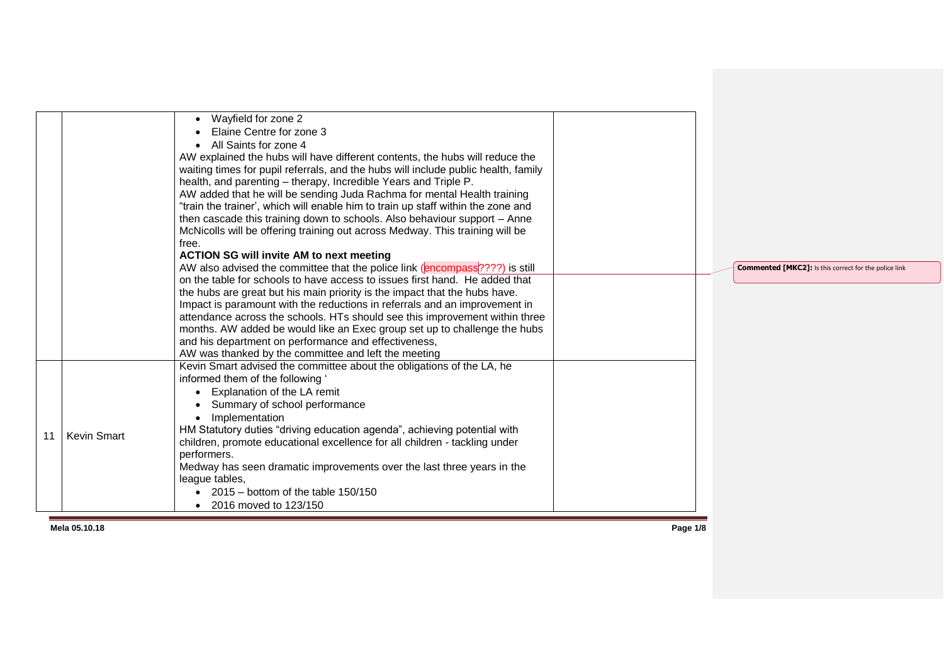|    |                    | Wayfield for zone 2<br>Elaine Centre for zone 3<br>All Saints for zone 4<br>AW explained the hubs will have different contents, the hubs will reduce the<br>waiting times for pupil referrals, and the hubs will include public health, family<br>health, and parenting - therapy, Incredible Years and Triple P.<br>AW added that he will be sending Juda Rachma for mental Health training<br>"train the trainer', which will enable him to train up staff within the zone and<br>then cascade this training down to schools. Also behaviour support - Anne<br>McNicolls will be offering training out across Medway. This training will be<br>free.<br><b>ACTION SG will invite AM to next meeting</b><br>AW also advised the committee that the police link (encompass <sup>2222</sup> ) is still<br>on the table for schools to have access to issues first hand. He added that<br>the hubs are great but his main priority is the impact that the hubs have.<br>Impact is paramount with the reductions in referrals and an improvement in | <b>Commented [MKC2]:</b> Is this correct for the police link |
|----|--------------------|--------------------------------------------------------------------------------------------------------------------------------------------------------------------------------------------------------------------------------------------------------------------------------------------------------------------------------------------------------------------------------------------------------------------------------------------------------------------------------------------------------------------------------------------------------------------------------------------------------------------------------------------------------------------------------------------------------------------------------------------------------------------------------------------------------------------------------------------------------------------------------------------------------------------------------------------------------------------------------------------------------------------------------------------------|--------------------------------------------------------------|
| 11 | <b>Kevin Smart</b> | attendance across the schools. HTs should see this improvement within three<br>months. AW added be would like an Exec group set up to challenge the hubs<br>and his department on performance and effectiveness,<br>AW was thanked by the committee and left the meeting<br>Kevin Smart advised the committee about the obligations of the LA, he<br>informed them of the following '<br>• Explanation of the LA remit<br>Summary of school performance<br>Implementation<br>HM Statutory duties "driving education agenda", achieving potential with<br>children, promote educational excellence for all children - tackling under<br>performers.<br>Medway has seen dramatic improvements over the last three years in the<br>league tables,<br>$2015 -$ bottom of the table 150/150<br>2016 moved to 123/150                                                                                                                                                                                                                                  |                                                              |